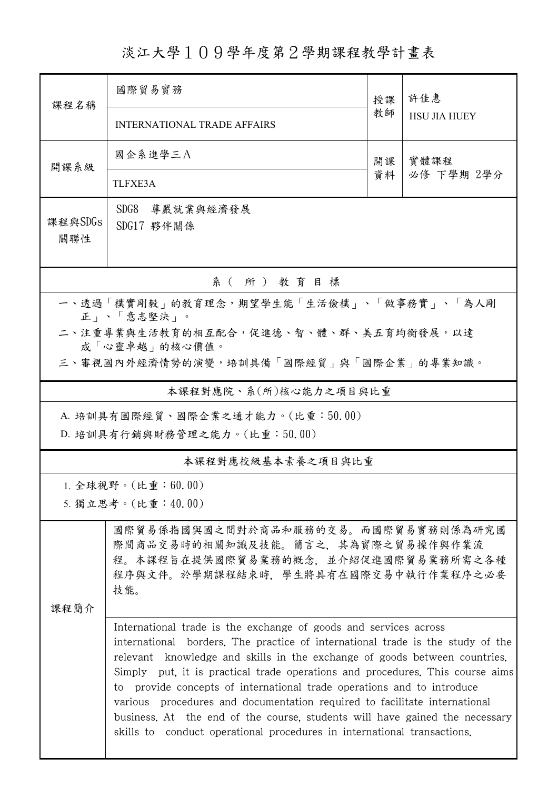## 淡江大學109學年度第2學期課程教學計畫表

| 課程名稱                                                   | 國際貿易實務                                                                                                                                                                                                                                                                                                                                                                                                                                                                                                                                                                                                                            | 授課<br>教師 | 許佳惠<br><b>HSU JIA HUEY</b> |  |
|--------------------------------------------------------|-----------------------------------------------------------------------------------------------------------------------------------------------------------------------------------------------------------------------------------------------------------------------------------------------------------------------------------------------------------------------------------------------------------------------------------------------------------------------------------------------------------------------------------------------------------------------------------------------------------------------------------|----------|----------------------------|--|
|                                                        | <b>INTERNATIONAL TRADE AFFAIRS</b>                                                                                                                                                                                                                                                                                                                                                                                                                                                                                                                                                                                                |          |                            |  |
| 開課系級                                                   | 國企系進學三A                                                                                                                                                                                                                                                                                                                                                                                                                                                                                                                                                                                                                           | 開課<br>資料 | 實體課程<br>必修 下學期 2學分         |  |
|                                                        | TLFXE3A                                                                                                                                                                                                                                                                                                                                                                                                                                                                                                                                                                                                                           |          |                            |  |
| 課程與SDGs<br>關聯性                                         | SDG8<br>尊嚴就業與經濟發展<br>SDG17 夥伴關係                                                                                                                                                                                                                                                                                                                                                                                                                                                                                                                                                                                                   |          |                            |  |
| 系(所)教育目標                                               |                                                                                                                                                                                                                                                                                                                                                                                                                                                                                                                                                                                                                                   |          |                            |  |
| 一、透過「樸實剛毅」的教育理念,期望學生能「生活儉樸」、「做事務實」、「為人剛<br>正」、「意志堅決」。  |                                                                                                                                                                                                                                                                                                                                                                                                                                                                                                                                                                                                                                   |          |                            |  |
| 二、注重專業與生活教育的相互配合,促進德、智、體、群、美五育均衡發展,以達<br>成「心靈卓越」的核心價值。 |                                                                                                                                                                                                                                                                                                                                                                                                                                                                                                                                                                                                                                   |          |                            |  |
| 三、審視國內外經濟情勢的演變,培訓具備「國際經貿」與「國際企業」的專業知識。                 |                                                                                                                                                                                                                                                                                                                                                                                                                                                                                                                                                                                                                                   |          |                            |  |
| 本課程對應院、系(所)核心能力之項目與比重                                  |                                                                                                                                                                                                                                                                                                                                                                                                                                                                                                                                                                                                                                   |          |                            |  |
| A. 培訓具有國際經貿、國際企業之通才能力。(比重:50.00)                       |                                                                                                                                                                                                                                                                                                                                                                                                                                                                                                                                                                                                                                   |          |                            |  |
| D. 培訓具有行銷與財務管理之能力。(比重:50.00)                           |                                                                                                                                                                                                                                                                                                                                                                                                                                                                                                                                                                                                                                   |          |                            |  |
| 本課程對應校級基本素養之項目與比重                                      |                                                                                                                                                                                                                                                                                                                                                                                                                                                                                                                                                                                                                                   |          |                            |  |
| 1. 全球視野。(比重:60.00)                                     |                                                                                                                                                                                                                                                                                                                                                                                                                                                                                                                                                                                                                                   |          |                            |  |
| 5. 獨立思考。(比重:40.00)                                     |                                                                                                                                                                                                                                                                                                                                                                                                                                                                                                                                                                                                                                   |          |                            |  |
| 課程簡介                                                   | 國際貿易係指國與國之間對於商品和服務的交易。而國際貿易實務則係為研究國<br>際間商品交易時的相關知識及技能。簡言之,其為實際之貿易操作與作業流<br>程。本課程旨在提供國際貿易業務的概念,並介紹促進國際貿易業務所需之各種<br>程序與文件。於學期課程結束時,學生將具有在國際交易中執行作業程序之必要<br>技能。                                                                                                                                                                                                                                                                                                                                                                                                                                                                     |          |                            |  |
|                                                        | International trade is the exchange of goods and services across<br>international borders. The practice of international trade is the study of the<br>relevant knowledge and skills in the exchange of goods between countries.<br>Simply put, it is practical trade operations and procedures. This course aims<br>to provide concepts of international trade operations and to introduce<br>various procedures and documentation required to facilitate international<br>business. At the end of the course, students will have gained the necessary<br>skills to conduct operational procedures in international transactions. |          |                            |  |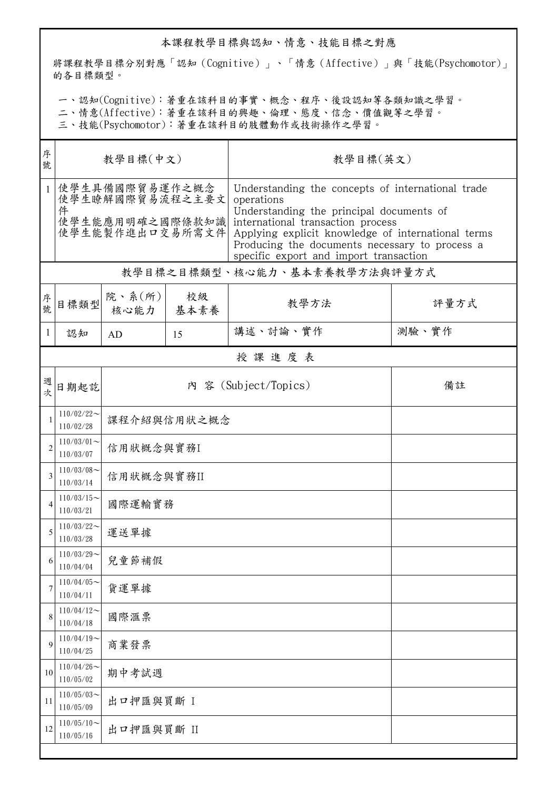## 本課程教學目標與認知、情意、技能目標之對應

將課程教學目標分別對應「認知(Cognitive)」、「情意(Affective)」與「技能(Psychomotor)」 的各目標類型。

一、認知(Cognitive):著重在該科目的事實、概念、程序、後設認知等各類知識之學習。

二、情意(Affective):著重在該科目的興趣、倫理、態度、信念、價值觀等之學習。

三、技能(Psychomotor):著重在該科目的肢體動作或技術操作之學習。

| 教學目標(英文)                                                                                                                                                                                                                                                                                                              |  |  |  |  |  |
|-----------------------------------------------------------------------------------------------------------------------------------------------------------------------------------------------------------------------------------------------------------------------------------------------------------------------|--|--|--|--|--|
| Understanding the concepts of international trade<br>operations<br>Understanding the principal documents of<br>使學生能應用明確之國際條款知識<br>international transaction process<br>Applying explicit knowledge of international terms<br>Producing the documents necessary to process a<br>specific export and import transaction |  |  |  |  |  |
| 教學目標之目標類型、核心能力、基本素養教學方法與評量方式                                                                                                                                                                                                                                                                                          |  |  |  |  |  |
| 評量方式                                                                                                                                                                                                                                                                                                                  |  |  |  |  |  |
| 測驗、實作                                                                                                                                                                                                                                                                                                                 |  |  |  |  |  |
| 授課進度表                                                                                                                                                                                                                                                                                                                 |  |  |  |  |  |
| 備註                                                                                                                                                                                                                                                                                                                    |  |  |  |  |  |
| 課程介紹與信用狀之概念                                                                                                                                                                                                                                                                                                           |  |  |  |  |  |
|                                                                                                                                                                                                                                                                                                                       |  |  |  |  |  |
| 信用狀概念與實務II                                                                                                                                                                                                                                                                                                            |  |  |  |  |  |
| 國際運輸實務                                                                                                                                                                                                                                                                                                                |  |  |  |  |  |
| 運送單據                                                                                                                                                                                                                                                                                                                  |  |  |  |  |  |
| 兒童節補假                                                                                                                                                                                                                                                                                                                 |  |  |  |  |  |
| 貨運單據                                                                                                                                                                                                                                                                                                                  |  |  |  |  |  |
|                                                                                                                                                                                                                                                                                                                       |  |  |  |  |  |
|                                                                                                                                                                                                                                                                                                                       |  |  |  |  |  |
|                                                                                                                                                                                                                                                                                                                       |  |  |  |  |  |
|                                                                                                                                                                                                                                                                                                                       |  |  |  |  |  |
| 出口押匯與買斷 II                                                                                                                                                                                                                                                                                                            |  |  |  |  |  |
|                                                                                                                                                                                                                                                                                                                       |  |  |  |  |  |